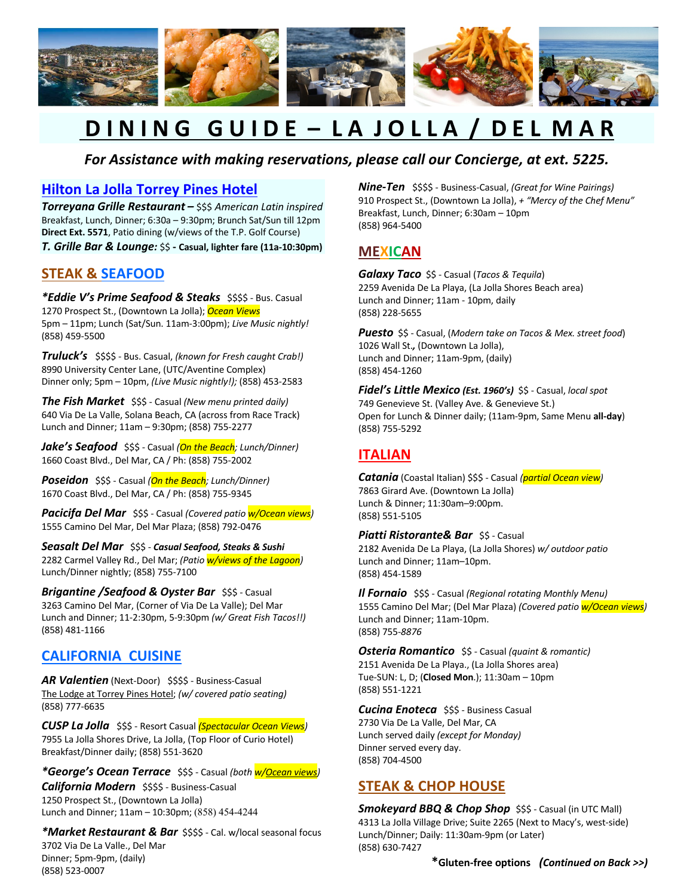

# **D I N I N G G U I D E – L A J O L L A / D E L M A R**

#### *For Assistance with making reservations, please call our Concierge, at ext. 5225.*

#### **Hilton La Jolla Torrey Pines Hotel**

*Torreyana Grille Restaurant –* \$\$\$ *American Latin inspired* Breakfast, Lunch, Dinner; 6:30a – 9:30pm; Brunch Sat/Sun till 12pm **Direct Ext. 5571**, Patio dining (w/views of the T.P. Golf Course) *T. Grille Bar & Lounge:* \$\$ **- Casual, lighter fare (11a-10:30pm)**

#### **STEAK & SEAFOOD**

*\*Eddie V's Prime Seafood & Steaks* \$\$\$\$ - Bus. Casual 1270 Prospect St., (Downtown La Jolla); *Ocean Views* 5pm – 11pm; Lunch (Sat/Sun. 11am-3:00pm); *Live Music nightly!* (858) 459-5500

*Truluck's* \$\$\$\$ - Bus. Casual, *(known for Fresh caught Crab!)*  8990 University Center Lane, (UTC/Aventine Complex) Dinner only; 5pm – 10pm, *(Live Music nightly!);* (858) 453-2583

*The Fish Market* \$\$\$ - Casual *(New menu printed daily)* 640 Via De La Valle, Solana Beach, CA (across from Race Track) Lunch and Dinner; 11am – 9:30pm; (858) 755-2277

*Jake's Seafood* \$\$\$ - Casual *(On the Beach; Lunch/Dinner)* 1660 Coast Blvd., Del Mar, CA / Ph: (858) 755-2002

*Poseidon* \$\$\$ - Casual *(On the Beach; Lunch/Dinner)*  1670 Coast Blvd., Del Mar, CA / Ph: (858) 755-9345

*Pacicifa Del Mar* \$\$\$ - Casual *(Covered patio w/Ocean views)*  1555 Camino Del Mar, Del Mar Plaza; (858) 792-0476

*Seasalt Del Mar* \$\$\$ - *Casual Seafood, Steaks & Sushi* 2282 Carmel Valley Rd., Del Mar; *(Patio w/views of the Lagoon)*  Lunch/Dinner nightly; (858) 755-7100

*Brigantine /Seafood & Oyster Bar* \$\$\$ - Casual 3263 Camino Del Mar, (Corner of Via De La Valle); Del Mar Lunch and Dinner; 11-2:30pm, 5-9:30pm *(w/ Great Fish Tacos!!)*  (858) 481-1166

#### **CALIFORNIA CUISINE**

AR Valentien (Next-Door) \$\$\$\$ - Business-Casual The Lodge at Torrey Pines Hotel; *(w/ covered patio seating)*  (858) 777-6635

*CUSP La Jolla* \$\$\$ - Resort Casual *(Spectacular Ocean Views)* 7955 La Jolla Shores Drive, La Jolla, (Top Floor of Curio Hotel) Breakfast/Dinner daily; (858) 551-3620

*\*George's Ocean Terrace* \$\$\$ - Casual *(both w/Ocean views) California Modern* \$\$\$\$ - Business-Casual 1250 Prospect St., (Downtown La Jolla) Lunch and Dinner; 11am – 10:30pm; (858) 454-4244

*\*Market Restaurant & Bar* \$\$\$\$ - Cal. w/local seasonal focus 3702 Via De La Valle., Del Mar Dinner; 5pm-9pm, (daily) (858) 523-0007

*Nine-Ten* \$\$\$\$ - Business-Casual, *(Great for Wine Pairings)*  910 Prospect St., (Downtown La Jolla), *+ "Mercy of the Chef Menu"* Breakfast, Lunch, Dinner; 6:30am – 10pm (858) 964-5400

## **MEXICAN**

*Galaxy Taco* \$\$ - Casual (*Tacos & Tequila*) 2259 Avenida De La Playa, (La Jolla Shores Beach area) Lunch and Dinner; 11am - 10pm, daily (858) 228-5655

*Puesto* \$\$ - Casual, (*Modern take on Tacos & Mex. street food*) 1026 Wall St.*,* (Downtown La Jolla), Lunch and Dinner; 11am-9pm, (daily) (858) 454-1260

*Fidel's Little Mexico (Est. 1960's)* \$\$ - Casual, *local spot*  749 Genevieve St. (Valley Ave. & Genevieve St.) Open for Lunch & Dinner daily; (11am-9pm, Same Menu **all-day**) (858) 755-5292

## **ITALIAN**

*Catania* (Coastal Italian) \$\$\$ - Casual *(partial Ocean view)* 7863 Girard Ave. (Downtown La Jolla) Lunch & Dinner; 11:30am–9:00pm. (858) 551-5105

*Piatti Ristorante& Bar \$\$ - Casual* 2182 Avenida De La Playa, (La Jolla Shores) *w/ outdoor patio*  Lunch and Dinner; 11am–10pm. (858) 454-1589

*Il Fornaio* \$\$\$ - Casual *(Regional rotating Monthly Menu)*  1555 Camino Del Mar; (Del Mar Plaza) *(Covered patio w/Ocean views)*  Lunch and Dinner; 11am-10pm. (858) 755-*8876* 

*Osteria Romantico* \$\$ - Casual *(quaint & romantic)* 2151 Avenida De La Playa., (La Jolla Shores area) Tue-SUN: L, D; (**Closed Mon**.); 11:30am – 10pm (858) 551-1221

*Cucina Enoteca* \$\$\$ - Business Casual 2730 Via De La Valle, Del Mar, CA Lunch served daily *(except for Monday)*  Dinner served every day. (858) 704-4500

#### **STEAK & CHOP HOUSE**

*Smokeyard BBQ & Chop Shop \$\$\$ - Casual (in UTC Mall)* 4313 La Jolla Village Drive; Suite 2265 (Next to Macy's, west-side) Lunch/Dinner; Daily: 11:30am-9pm (or Later) (858) 630-7427